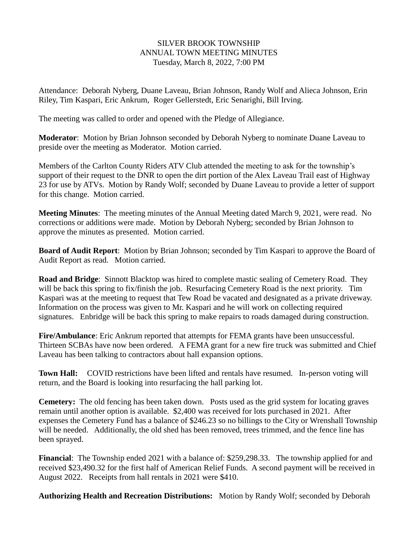## SILVER BROOK TOWNSHIP ANNUAL TOWN MEETING MINUTES Tuesday, March 8, 2022, 7:00 PM

Attendance: Deborah Nyberg, Duane Laveau, Brian Johnson, Randy Wolf and Alieca Johnson, Erin Riley, Tim Kaspari, Eric Ankrum, Roger Gellerstedt, Eric Senarighi, Bill Irving.

The meeting was called to order and opened with the Pledge of Allegiance.

**Moderator**: Motion by Brian Johnson seconded by Deborah Nyberg to nominate Duane Laveau to preside over the meeting as Moderator. Motion carried.

Members of the Carlton County Riders ATV Club attended the meeting to ask for the township's support of their request to the DNR to open the dirt portion of the Alex Laveau Trail east of Highway 23 for use by ATVs. Motion by Randy Wolf; seconded by Duane Laveau to provide a letter of support for this change. Motion carried.

**Meeting Minutes**: The meeting minutes of the Annual Meeting dated March 9, 2021, were read. No corrections or additions were made. Motion by Deborah Nyberg; seconded by Brian Johnson to approve the minutes as presented. Motion carried.

**Board of Audit Report**: Motion by Brian Johnson; seconded by Tim Kaspari to approve the Board of Audit Report as read. Motion carried.

**Road and Bridge**: Sinnott Blacktop was hired to complete mastic sealing of Cemetery Road. They will be back this spring to fix/finish the job. Resurfacing Cemetery Road is the next priority. Tim Kaspari was at the meeting to request that Tew Road be vacated and designated as a private driveway. Information on the process was given to Mr. Kaspari and he will work on collecting required signatures. Enbridge will be back this spring to make repairs to roads damaged during construction.

**Fire/Ambulance**: Eric Ankrum reported that attempts for FEMA grants have been unsuccessful. Thirteen SCBAs have now been ordered. A FEMA grant for a new fire truck was submitted and Chief Laveau has been talking to contractors about hall expansion options.

**Town Hall:** COVID restrictions have been lifted and rentals have resumed. In-person voting will return, and the Board is looking into resurfacing the hall parking lot.

**Cemetery:** The old fencing has been taken down. Posts used as the grid system for locating graves remain until another option is available. \$2,400 was received for lots purchased in 2021. After expenses the Cemetery Fund has a balance of \$246.23 so no billings to the City or Wrenshall Township will be needed. Additionally, the old shed has been removed, trees trimmed, and the fence line has been sprayed.

**Financial**: The Township ended 2021 with a balance of: \$259,298.33. The township applied for and received \$23,490.32 for the first half of American Relief Funds. A second payment will be received in August 2022. Receipts from hall rentals in 2021 were \$410.

**Authorizing Health and Recreation Distributions:** Motion by Randy Wolf; seconded by Deborah